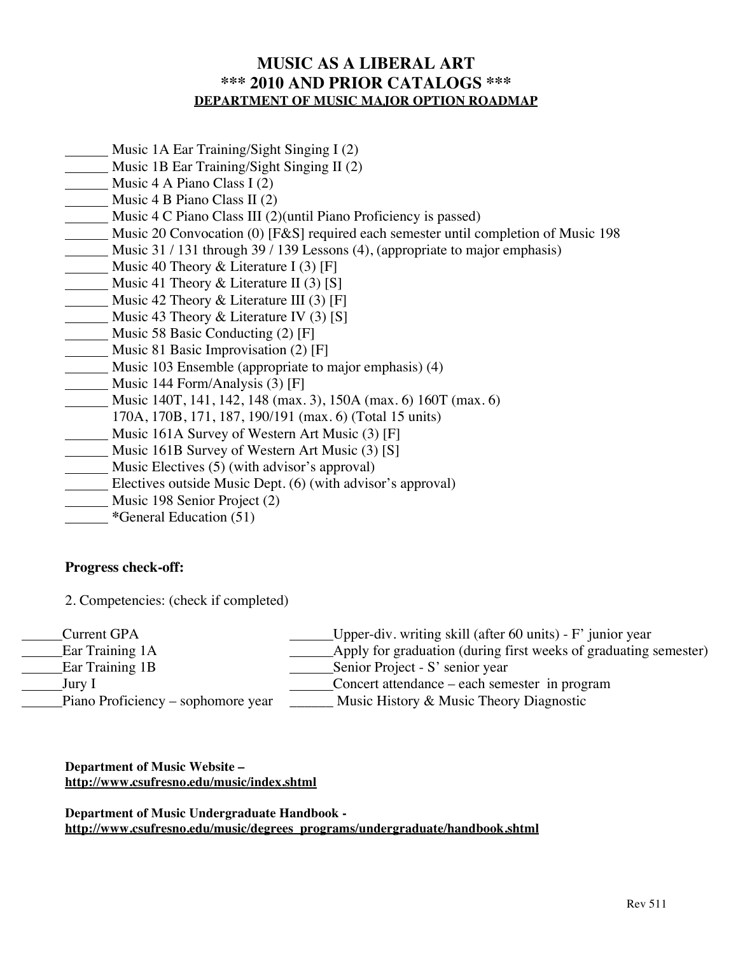# **MUSIC AS A LIBERAL ART \*\*\* 2010 AND PRIOR CATALOGS \*\*\* DEPARTMENT OF MUSIC MAJOR OPTION ROADMAP**

- **Music 1A Ear Training/Sight Singing I (2)**
- Music 1B Ear Training/Sight Singing II (2)
- Music 4 A Piano Class I  $(2)$
- Music 4 B Piano Class II (2)
- Music 4 C Piano Class III (2)(until Piano Proficiency is passed)
- Music 20 Convocation (0) [F&S] required each semester until completion of Music 198
- Music 31 / 131 through 39 / 139 Lessons (4), (appropriate to major emphasis)
- Music 40 Theory & Literature I (3) [F]
- Music 41 Theory & Literature II (3) [S]
- Music 42 Theory & Literature III (3) [F]
- Music 43 Theory & Literature IV  $(3)$  [S]
- Music 58 Basic Conducting (2) [F]
- **Music 81 Basic Improvisation (2) [F]**
- Music 103 Ensemble (appropriate to major emphasis) (4)
- Music 144 Form/Analysis (3) [F]
- Music 140T, 141, 142, 148 (max. 3), 150A (max. 6) 160T (max. 6)
- 170A, 170B, 171, 187, 190/191 (max. 6) (Total 15 units)
- Music 161A Survey of Western Art Music (3) [F]
- Music 161B Survey of Western Art Music (3) [S]
- Music Electives (5) (with advisor's approval)
- **Electives outside Music Dept.** (6) (with advisor's approval)
- Music 198 Senior Project (2)
- **\***General Education (51)

## **Progress check-off:**

2. Competencies: (check if completed)

| Current GPA                        | Upper-div. writing skill (after 60 units) - $F'$ junior year     |
|------------------------------------|------------------------------------------------------------------|
| Ear Training 1A                    | Apply for graduation (during first weeks of graduating semester) |
| Ear Training 1B                    | Senior Project - S' senior year                                  |
| Jury I                             | Concert attendance – each semester in program                    |
| Piano Proficiency – sophomore year | Music History & Music Theory Diagnostic                          |

**Department of Music Website – http://www.csufresno.edu/music/index.shtml**

**Department of Music Undergraduate Handbook http://www.csufresno.edu/music/degrees\_programs/undergraduate/handbook.shtml**